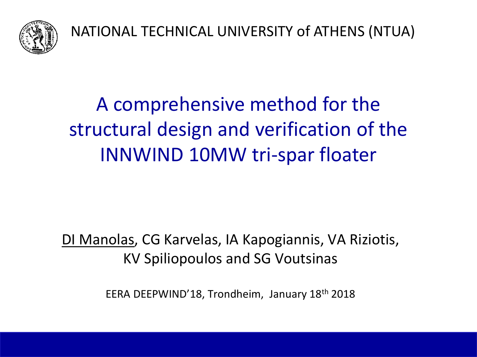

NATIONAL TECHNICAL UNIVERSITY of ATHENS (NTUA)

# A comprehensive method for the structural design and verification of the INNWIND 10MW tri-spar floater

# DI Manolas, CG Karvelas, IA Kapogiannis, VA Riziotis, KV Spiliopoulos and SG Voutsinas

EERA DEEPWIND'18, Trondheim, January 18th 2018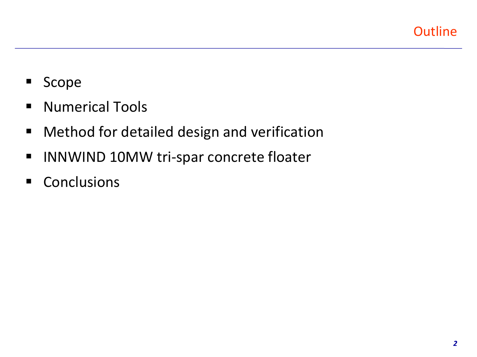- **Scope**
- **Numerical Tools**
- **Nethod for detailed design and verification**
- **INNWIND 10MW tri-spar concrete floater**
- Conclusions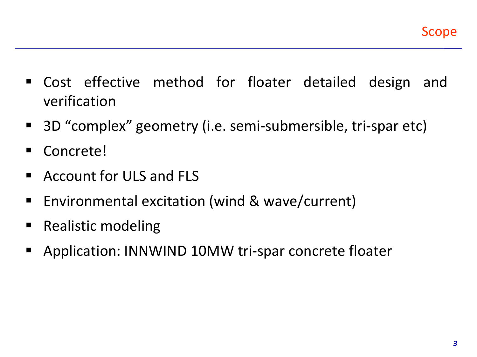- Cost effective method for floater detailed design and verification
- 3D "complex" geometry (i.e. semi-submersible, tri-spar etc)
- Concrete!
- Account for ULS and FLS
- Environmental excitation (wind & wave/current)
- Realistic modeling
- **Application: INNWIND 10MW tri-spar concrete floater**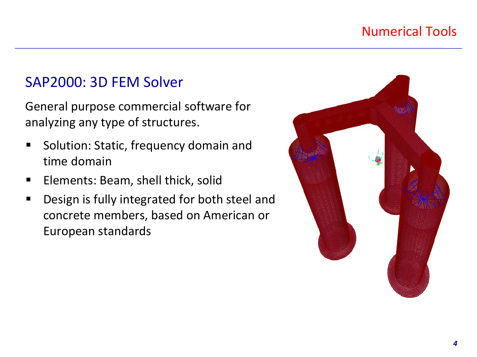### Numerical Tools

# SAP2000: 3D FEM Solver

General purpose commercial software for analyzing any type of structures.

- Solution: Static, frequency domain and time domain
- **Elements: Beam, shell thick, solid**
- **Design is fully integrated for both steel and** concrete members, based on American or European standards

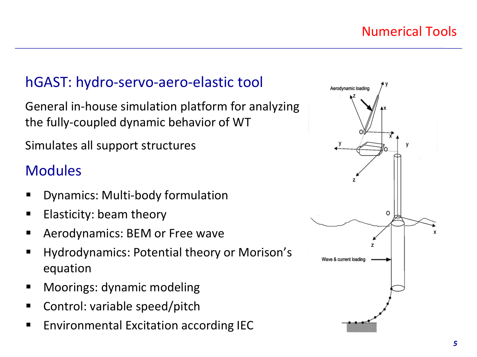# hGAST: hydro-servo-aero-elastic tool

General in-house simulation platform for analyzing the fully-coupled dynamic behavior of WT

Simulates all support structures

# **Modules**

- Dynamics: Multi-body formulation
- $\blacksquare$  Elasticity: beam theory
- Aerodynamics: BEM or Free wave
- **Hydrodynamics: Potential theory or Morison's** equation
- Moorings: dynamic modeling
- Control: variable speed/pitch
- **Environmental Excitation according IEC**

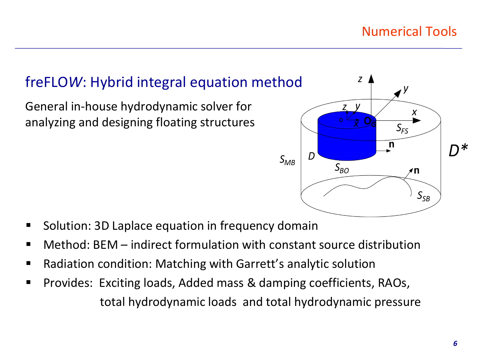# freFLO*W*: Hybrid integral equation method

General in-house hydrodynamic solver for analyzing and designing floating structures



- Solution: 3D Laplace equation in frequency domain
- Method: BEM indirect formulation with constant source distribution
- Radiation condition: Matching with Garrett's analytic solution
- **Provides: Exciting loads, Added mass & damping coefficients, RAOs,** total hydrodynamic loads and total hydrodynamic pressure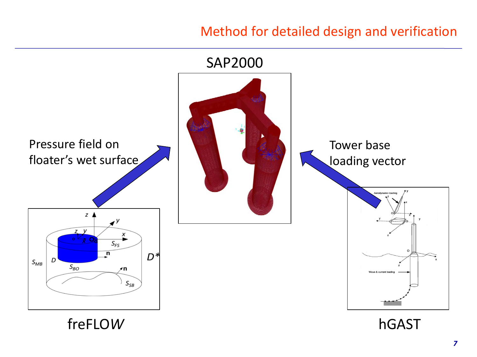#### Method for detailed design and verification



freFLO*W* hGAST

*7*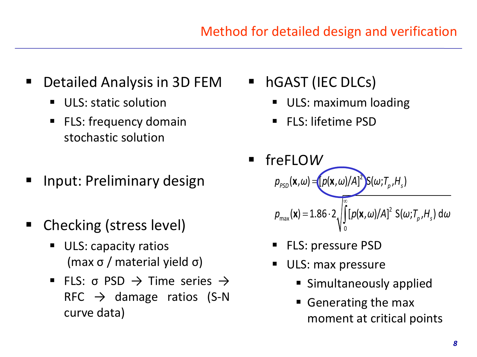- **Detailed Analysis in 3D FEM** 
	- ULS: static solution
	- FLS: frequency domain stochastic solution
- Input: Preliminary design
- Checking (stress level)
	- ULS: capacity ratios (max σ / material yield σ)
	- FLS:  $\sigma$  PSD  $\rightarrow$  Time series  $\rightarrow$  $RFC \rightarrow$  damage ratios (S-N curve data)
- **hgast (IEC DLCs)** 
	- ULS: maximum loading
	- FLS: lifetime PSD
- freFLO*W* ∞  $p_{\scriptscriptstyle \rho_{SD}}(\mathbf{x},\omega)$  =  $[p(\mathbf{x},\omega)/A]^2]$   $S(\omega;T_{\scriptscriptstyle \rho},H_{\scriptscriptstyle S})$  $= 1.86 \cdot 2 \sqrt{\left[\frac{\rho(\mathbf{x},\omega)}{A}\right]^2}$  $p_{\sf max}({\bf x})\!=\!1.86\cdot2\sqrt{|\,[\mathit{p}({\bf x},\omega)/\mathit{A}]^2\,[\,\mathsf{S}(\omega;\mathit{T}_{\rho},\mathit{H}_{\scriptscriptstyle{S}})\,\mathsf{d}\omega|}$ 0
	- FLS: pressure PSD
	- ULS: max pressure
		- Simultaneously applied
		- Generating the max moment at critical points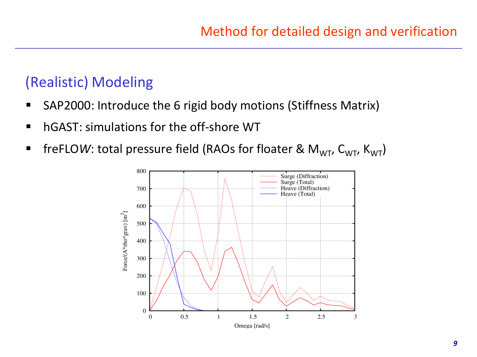# (Realistic) Modeling

- SAP2000: Introduce the 6 rigid body motions (Stiffness Matrix)
- **hgatharthariations for the off-shore WT**
- **fi** freFLO*W*: total pressure field (RAOs for floater &  $M_{WT}$ ,  $C_{WT}$ ,  $K_{WT}$ )

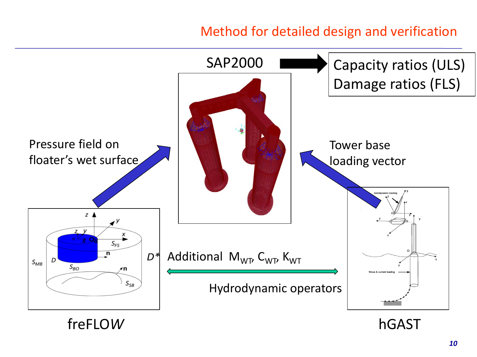#### Method for detailed design and verification



freFLO*W* hGAST

*10*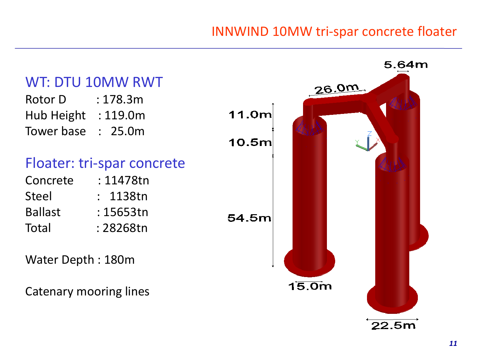#### INNWIND 10MW tri-spar concrete floater

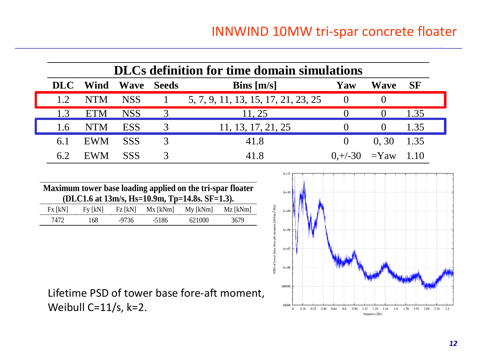| <b>DLCs definition for time domain simulations</b> |            |                   |  |                                     |                |      |           |  |  |
|----------------------------------------------------|------------|-------------------|--|-------------------------------------|----------------|------|-----------|--|--|
| <b>DLC</b>                                         | Wind       | <b>Wave Seeds</b> |  | Bins $[m/s]$                        | Yaw            | Wave | <b>SF</b> |  |  |
| 1.2                                                | <b>NTM</b> | NSS               |  | 5, 7, 9, 11, 13, 15, 17, 21, 23, 25 | $\cup$         |      |           |  |  |
| 1.3                                                | <b>ETM</b> | <b>NSS</b>        |  | 11, 25                              |                |      | 1.35      |  |  |
| 1.6                                                | <b>NTM</b> | <b>ESS</b>        |  | 11, 13, 17, 21, 25                  |                |      | 1.35      |  |  |
| 6.1                                                | <b>EWM</b> | <b>SSS</b>        |  | 41.8                                |                | 0.30 | 1.35      |  |  |
|                                                    | <b>EWM</b> | <b>SSS</b>        |  | 41.8                                | $0,+/-30$ =Yaw |      | 1.10      |  |  |

| Maximum tower base loading applied on the tri-spar floater<br>(DLC1.6 at 13m/s, Hs=10.9m, Tp=14.8s. SF=1.3). |         |         |            |            |          |  |  |
|--------------------------------------------------------------------------------------------------------------|---------|---------|------------|------------|----------|--|--|
| Fx [kN]                                                                                                      | Fv [kN] | Fz [kN] | $Mx$ [kNm] | $My$ [kNm] | Mz [kNm] |  |  |
| 7472                                                                                                         | 168.    | -9736   | -5186      | 621000     | 3679     |  |  |



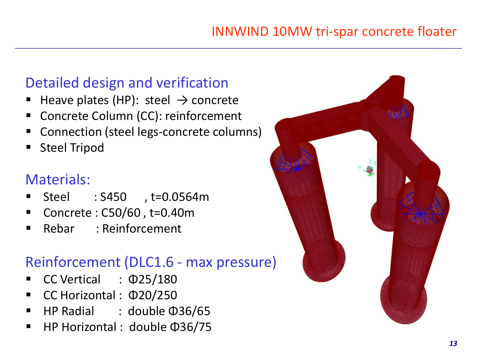## Detailed design and verification

- Heave plates (HP): steel  $\rightarrow$  concrete
- Concrete Column (CC): reinforcement
- Connection (steel legs-concrete columns)
- Steel Tripod

# Materials:

- Steel : S450 , t=0.0564m
- Concrete : C50/60 , t=0.40m
- Rebar : Reinforcement

# Reinforcement (DLC1.6 - max pressure)

- CC Vertical : Φ25/180
- CC Horizontal : Φ20/250
- HP Radial : double Φ36/65
- HP Horizontal : double Φ36/75

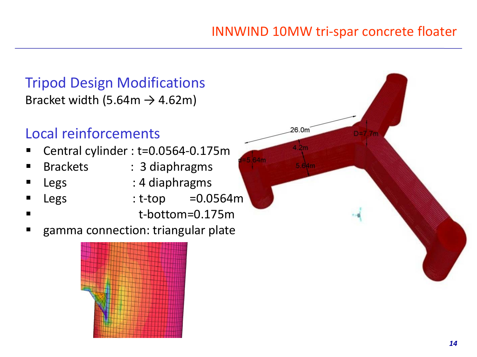26.0m

4 2ท

# Tripod Design Modifications Bracket width (5.64m  $\rightarrow$  4.62m)

# Local reinforcements

- Central cylinder : t=0.0564-0.175m
- 
- Brackets : 3 diaphragms
- Legs : 4 diaphragms
- $Legs$  : t-top =0.0564m
	- t-bottom=0.175m
- gamma connection: triangular plate

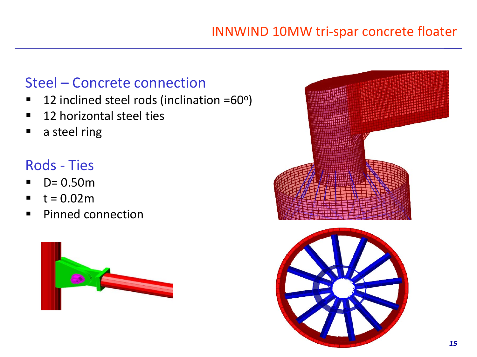### Steel – Concrete connection

- $\blacksquare$  12 inclined steel rods (inclination =60 $\circ$ )
- 12 horizontal steel ties
- **a** steel ring

# Rods - Ties

- $D = 0.50m$
- $t = 0.02m$
- **Pinned connection**



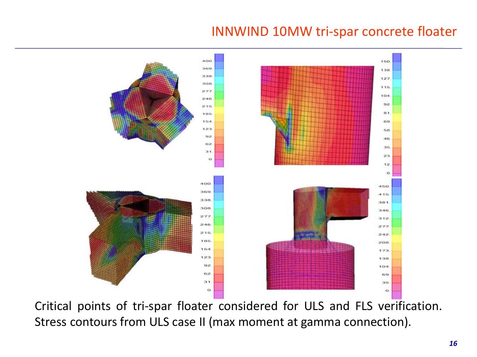#### INNWIND 10MW tri-spar concrete floater



Critical points of tri-spar floater considered for ULS and FLS verification. Stress contours from ULS case II (max moment at gamma connection).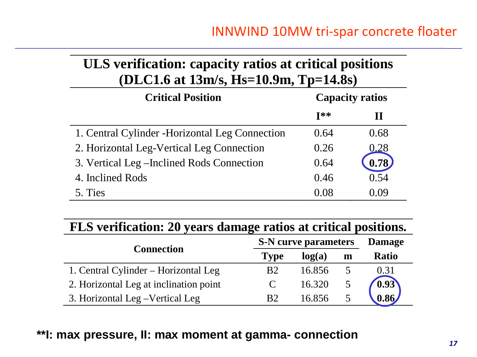#### **ULS verification: capacity ratios at critical positions (DLC1.6 at 13m/s, Hs=10.9m, Tp=14.8s)**

| <b>Critical Position</b>                        | <b>Capacity ratios</b> |       |  |  |
|-------------------------------------------------|------------------------|-------|--|--|
|                                                 | $I**$                  | Ш     |  |  |
| 1. Central Cylinder - Horizontal Leg Connection | 0.64                   | 0.68  |  |  |
| 2. Horizontal Leg-Vertical Leg Connection       | 0.26                   | 0.28  |  |  |
| 3. Vertical Leg – Inclined Rods Connection      | 0.64                   | 0.78) |  |  |
| 4. Inclined Rods                                | 0.46                   | 0.54  |  |  |
| 5. Ties                                         | () ()X                 | 0.09  |  |  |

|  |  | FLS verification: 20 years damage ratios at critical positions. |  |  |  |  |  |  |  |
|--|--|-----------------------------------------------------------------|--|--|--|--|--|--|--|
|--|--|-----------------------------------------------------------------|--|--|--|--|--|--|--|

|                                        | <b>S-N</b> curve parameters | <b>Damage</b> |   |              |
|----------------------------------------|-----------------------------|---------------|---|--------------|
| <b>Connection</b>                      | <b>Type</b>                 | log(a)        | m | <b>Ratio</b> |
| 1. Central Cylinder – Horizontal Leg   | <b>B</b> 2                  | 16.856        |   | 0.31         |
| 2. Horizontal Leg at inclination point |                             | 16.320        |   | 0.93         |
| 3. Horizontal Leg – Vertical Leg       | <b>B</b> <sub>2</sub>       | 16.856        |   | 0.86         |

#### **\*\*I: max pressure, II: max moment at gamma- connection**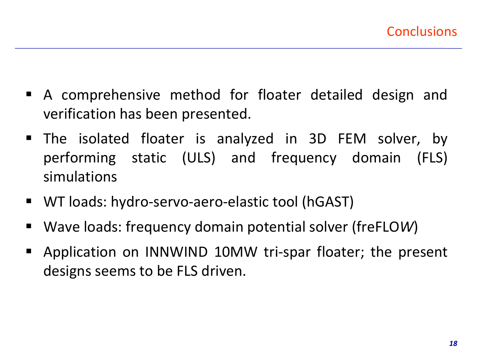- A comprehensive method for floater detailed design and verification has been presented.
- The isolated floater is analyzed in 3D FEM solver, by performing static (ULS) and frequency domain (FLS) simulations
- WT loads: hydro-servo-aero-elastic tool (hGAST)
- Wave loads: frequency domain potential solver (freFLO*W*)
- Application on INNWIND 10MW tri-spar floater; the present designs seems to be FLS driven.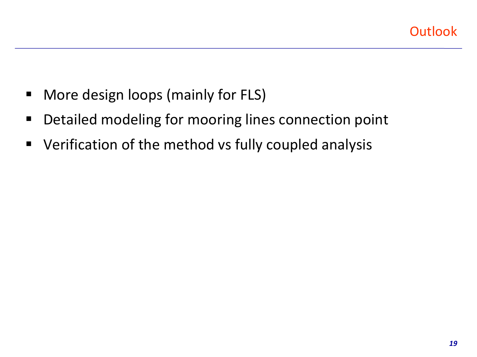- **More design loops (mainly for FLS)**
- **Detailed modeling for mooring lines connection point**
- **U** Verification of the method vs fully coupled analysis